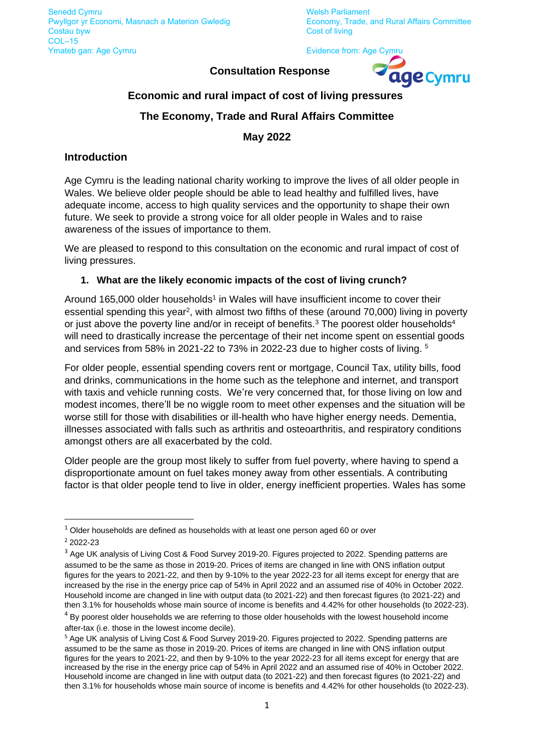**Consultation Response**



# **Economic and rural impact of cost of living pressures**

# **The Economy, Trade and Rural Affairs Committee**

**May 2022**

## **Introduction**

Age Cymru is the leading national charity working to improve the lives of all older people in Wales. We believe older people should be able to lead healthy and fulfilled lives, have adequate income, access to high quality services and the opportunity to shape their own future. We seek to provide a strong voice for all older people in Wales and to raise awareness of the issues of importance to them.

We are pleased to respond to this consultation on the economic and rural impact of cost of living pressures.

#### **1. What are the likely economic impacts of the cost of living crunch?**

Around 165,000 older households<sup>1</sup> in Wales will have insufficient income to cover their essential spending this year<sup>2</sup>, with almost two fifths of these (around 70,000) living in poverty or just above the poverty line and/or in receipt of benefits.<sup>3</sup> The poorest older households<sup>4</sup> will need to drastically increase the percentage of their net income spent on essential goods and services from 58% in 2021-22 to 73% in 2022-23 due to higher costs of living. 5

For older people, essential spending covers rent or mortgage, Council Tax, utility bills, food and drinks, communications in the home such as the telephone and internet, and transport with taxis and vehicle running costs. We're very concerned that, for those living on low and modest incomes, there'll be no wiggle room to meet other expenses and the situation will be worse still for those with disabilities or ill-health who have higher energy needs. Dementia, illnesses associated with falls such as arthritis and osteoarthritis, and respiratory conditions amongst others are all exacerbated by the cold.

Older people are the group most likely to suffer from fuel poverty, where having to spend a disproportionate amount on fuel takes money away from other essentials. A contributing factor is that older people tend to live in older, energy inefficient properties. Wales has some

 $1$  Older households are defined as households with at least one person aged 60 or over <sup>2</sup> 2022-23

<sup>&</sup>lt;sup>3</sup> Age UK analysis of Living Cost & Food Survey 2019-20. Figures projected to 2022. Spending patterns are assumed to be the same as those in 2019-20. Prices of items are changed in line with ONS inflation output figures for the years to 2021-22, and then by 9-10% to the year 2022-23 for all items except for energy that are increased by the rise in the energy price cap of 54% in April 2022 and an assumed rise of 40% in October 2022. Household income are changed in line with output data (to 2021-22) and then forecast figures (to 2021-22) and then 3.1% for households whose main source of income is benefits and 4.42% for other households (to 2022-23).

<sup>&</sup>lt;sup>4</sup> By poorest older households we are referring to those older households with the lowest household income after-tax (i.e. those in the lowest income decile).

<sup>&</sup>lt;sup>5</sup> Age UK analysis of Living Cost & Food Survey 2019-20. Figures projected to 2022. Spending patterns are assumed to be the same as those in 2019-20. Prices of items are changed in line with ONS inflation output figures for the years to 2021-22, and then by 9-10% to the year 2022-23 for all items except for energy that are increased by the rise in the energy price cap of 54% in April 2022 and an assumed rise of 40% in October 2022. Household income are changed in line with output data (to 2021-22) and then forecast figures (to 2021-22) and then 3.1% for households whose main source of income is benefits and 4.42% for other households (to 2022-23).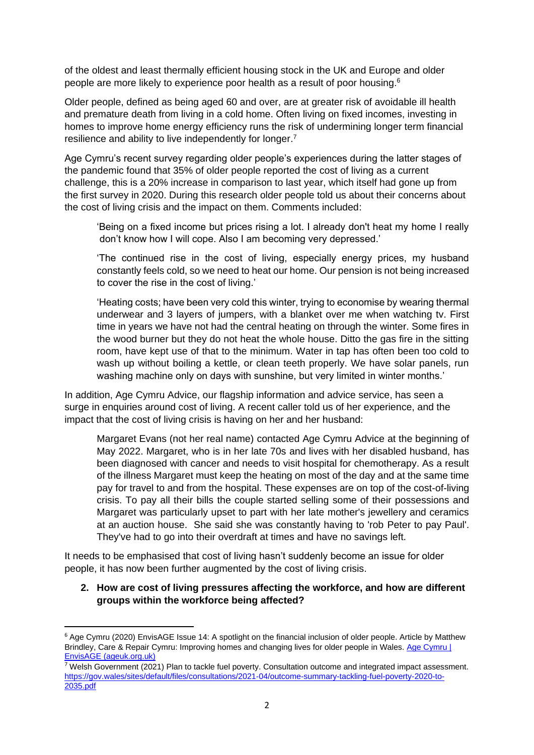of the oldest and least thermally efficient housing stock in the UK and Europe and older people are more likely to experience poor health as a result of poor housing.<sup>6</sup>

Older people, defined as being aged 60 and over, are at greater risk of avoidable ill health and premature death from living in a cold home. Often living on fixed incomes, investing in homes to improve home energy efficiency runs the risk of undermining longer term financial resilience and ability to live independently for longer.<sup>7</sup>

Age Cymru's recent survey regarding older people's experiences during the latter stages of the pandemic found that 35% of older people reported the cost of living as a current challenge, this is a 20% increase in comparison to last year, which itself had gone up from the first survey in 2020. During this research older people told us about their concerns about the cost of living crisis and the impact on them. Comments included:

'Being on a fixed income but prices rising a lot. I already don't heat my home I really don't know how I will cope. Also I am becoming very depressed.'

'The continued rise in the cost of living, especially energy prices, my husband constantly feels cold, so we need to heat our home. Our pension is not being increased to cover the rise in the cost of living.'

'Heating costs; have been very cold this winter, trying to economise by wearing thermal underwear and 3 layers of jumpers, with a blanket over me when watching tv. First time in years we have not had the central heating on through the winter. Some fires in the wood burner but they do not heat the whole house. Ditto the gas fire in the sitting room, have kept use of that to the minimum. Water in tap has often been too cold to wash up without boiling a kettle, or clean teeth properly. We have solar panels, run washing machine only on days with sunshine, but very limited in winter months.'

In addition, Age Cymru Advice, our flagship information and advice service, has seen a surge in enquiries around cost of living. A recent caller told us of her experience, and the impact that the cost of living crisis is having on her and her husband:

Margaret Evans (not her real name) contacted Age Cymru Advice at the beginning of May 2022. Margaret, who is in her late 70s and lives with her disabled husband, has been diagnosed with cancer and needs to visit hospital for chemotherapy. As a result of the illness Margaret must keep the heating on most of the day and at the same time pay for travel to and from the hospital. These expenses are on top of the cost-of-living crisis. To pay all their bills the couple started selling some of their possessions and Margaret was particularly upset to part with her late mother's jewellery and ceramics at an auction house. She said she was constantly having to 'rob Peter to pay Paul'. They've had to go into their overdraft at times and have no savings left.

It needs to be emphasised that cost of living hasn't suddenly become an issue for older people, it has now been further augmented by the cost of living crisis.

#### **2. How are cost of living pressures affecting the workforce, and how are different groups within the workforce being affected?**

<sup>&</sup>lt;sup>6</sup> Age Cymru (2020) EnvisAGE Issue 14: A spotlight on the financial inclusion of older people. Article by Matthew Brindley, Care & Repair Cymru: Improving homes and changing lives for older people in Wales. Age Cymru | [EnvisAGE \(ageuk.org.uk\)](https://www.ageuk.org.uk/cymru/our-impact/policy-publications/envisage/)

<sup>7</sup> Welsh Government (2021) Plan to tackle fuel poverty. Consultation outcome and integrated impact assessment. [https://gov.wales/sites/default/files/consultations/2021-04/outcome-summary-tackling-fuel-poverty-2020-to-](https://gov.wales/sites/default/files/consultations/2021-04/outcome-summary-tackling-fuel-poverty-2020-to-2035.pdf)[2035.pdf](https://gov.wales/sites/default/files/consultations/2021-04/outcome-summary-tackling-fuel-poverty-2020-to-2035.pdf)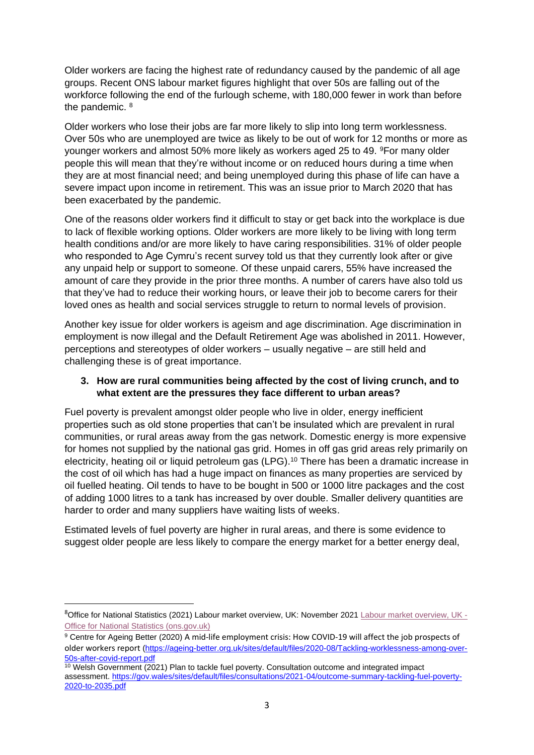Older workers are facing the highest rate of redundancy caused by the pandemic of all age groups. Recent ONS labour market figures highlight that over 50s are falling out of the workforce following the end of the furlough scheme, with 180,000 fewer in work than before the pandemic. <sup>8</sup>

Older workers who lose their jobs are far more likely to slip into long term worklessness. Over 50s who are unemployed are twice as likely to be out of work for 12 months or more as younger workers and almost 50% more likely as workers aged 25 to 49. <sup>9</sup>For many older people this will mean that they're without income or on reduced hours during a time when they are at most financial need; and being unemployed during this phase of life can have a severe impact upon income in retirement. This was an issue prior to March 2020 that has been exacerbated by the pandemic.

One of the reasons older workers find it difficult to stay or get back into the workplace is due to lack of flexible working options. Older workers are more likely to be living with long term health conditions and/or are more likely to have caring responsibilities. 31% of older people who responded to Age Cymru's recent survey told us that they currently look after or give any unpaid help or support to someone. Of these unpaid carers, 55% have increased the amount of care they provide in the prior three months. A number of carers have also told us that they've had to reduce their working hours, or leave their job to become carers for their loved ones as health and social services struggle to return to normal levels of provision.

Another key issue for older workers is ageism and age discrimination. Age discrimination in employment is now illegal and the Default Retirement Age was abolished in 2011. However, perceptions and stereotypes of older workers – usually negative – are still held and challenging these is of great importance.

# **3. How are rural communities being affected by the cost of living crunch, and to what extent are the pressures they face different to urban areas?**

Fuel poverty is prevalent amongst older people who live in older, energy inefficient properties such as old stone properties that can't be insulated which are prevalent in rural communities, or rural areas away from the gas network. Domestic energy is more expensive for homes not supplied by the national gas grid. Homes in off gas grid areas rely primarily on electricity, heating oil or liquid petroleum gas (LPG). <sup>10</sup> There has been a dramatic increase in the cost of oil which has had a huge impact on finances as many properties are serviced by oil fuelled heating. Oil tends to have to be bought in 500 or 1000 litre packages and the cost of adding 1000 litres to a tank has increased by over double. Smaller delivery quantities are harder to order and many suppliers have waiting lists of weeks.

Estimated levels of fuel poverty are higher in rural areas, and there is some evidence to suggest older people are less likely to compare the energy market for a better energy deal,

<sup>8</sup>Office for National Statistics (2021) Labour market overview, UK: November 2021 [Labour market overview, UK -](https://www.ons.gov.uk/employmentandlabourmarket/peopleinwork/employmentandemployeetypes/bulletins/uklabourmarket/november2021) [Office for National Statistics \(ons.gov.uk\)](https://www.ons.gov.uk/employmentandlabourmarket/peopleinwork/employmentandemployeetypes/bulletins/uklabourmarket/november2021)

<sup>9</sup> Centre for Ageing Better (2020) A mid-life employment crisis: How COVID-19 will affect the job prospects of older workers report [\(https://ageing-better.org.uk/sites/default/files/2020-08/Tackling-worklessness-among-over-](https://ageing-better.org.uk/sites/default/files/2020-08/Tackling-worklessness-among-over-50s-after-covid-report.pdf)[50s-after-covid-report.pdf](https://ageing-better.org.uk/sites/default/files/2020-08/Tackling-worklessness-among-over-50s-after-covid-report.pdf)

 $10$  Welsh Government (2021) Plan to tackle fuel poverty. Consultation outcome and integrated impact assessment. [https://gov.wales/sites/default/files/consultations/2021-04/outcome-summary-tackling-fuel-poverty-](https://gov.wales/sites/default/files/consultations/2021-04/outcome-summary-tackling-fuel-poverty-2020-to-2035.pdf)[2020-to-2035.pdf](https://gov.wales/sites/default/files/consultations/2021-04/outcome-summary-tackling-fuel-poverty-2020-to-2035.pdf)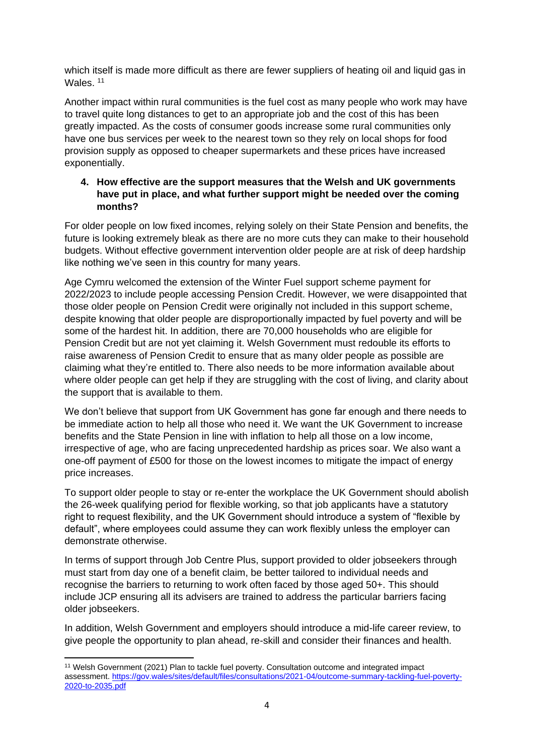which itself is made more difficult as there are fewer suppliers of heating oil and liquid gas in Wales.<sup>11</sup>

Another impact within rural communities is the fuel cost as many people who work may have to travel quite long distances to get to an appropriate job and the cost of this has been greatly impacted. As the costs of consumer goods increase some rural communities only have one bus services per week to the nearest town so they rely on local shops for food provision supply as opposed to cheaper supermarkets and these prices have increased exponentially.

## **4. How effective are the support measures that the Welsh and UK governments have put in place, and what further support might be needed over the coming months?**

For older people on low fixed incomes, relying solely on their State Pension and benefits, the future is looking extremely bleak as there are no more cuts they can make to their household budgets. Without effective government intervention older people are at risk of deep hardship like nothing we've seen in this country for many years.

Age Cymru welcomed the extension of the Winter Fuel support scheme payment for 2022/2023 to include people accessing Pension Credit. However, we were disappointed that those older people on Pension Credit were originally not included in this support scheme, despite knowing that older people are disproportionally impacted by fuel poverty and will be some of the hardest hit. In addition, there are 70,000 households who are eligible for Pension Credit but are not yet claiming it. Welsh Government must redouble its efforts to raise awareness of Pension Credit to ensure that as many older people as possible are claiming what they're entitled to. There also needs to be more information available about where older people can get help if they are struggling with the cost of living, and clarity about the support that is available to them.

We don't believe that support from UK Government has gone far enough and there needs to be immediate action to help all those who need it. We want the UK Government to increase benefits and the State Pension in line with inflation to help all those on a low income, irrespective of age, who are facing unprecedented hardship as prices soar. We also want a one-off payment of £500 for those on the lowest incomes to mitigate the impact of energy price increases.

To support older people to stay or re-enter the workplace the UK Government should abolish the 26-week qualifying period for flexible working, so that job applicants have a statutory right to request flexibility, and the UK Government should introduce a system of "flexible by default", where employees could assume they can work flexibly unless the employer can demonstrate otherwise.

In terms of support through Job Centre Plus, support provided to older jobseekers through must start from day one of a benefit claim, be better tailored to individual needs and recognise the barriers to returning to work often faced by those aged 50+. This should include JCP ensuring all its advisers are trained to address the particular barriers facing older jobseekers.

In addition, Welsh Government and employers should introduce a mid-life career review, to give people the opportunity to plan ahead, re-skill and consider their finances and health.

<sup>11</sup> Welsh Government (2021) Plan to tackle fuel poverty. Consultation outcome and integrated impact assessment. [https://gov.wales/sites/default/files/consultations/2021-04/outcome-summary-tackling-fuel-poverty-](https://gov.wales/sites/default/files/consultations/2021-04/outcome-summary-tackling-fuel-poverty-2020-to-2035.pdf)[2020-to-2035.pdf](https://gov.wales/sites/default/files/consultations/2021-04/outcome-summary-tackling-fuel-poverty-2020-to-2035.pdf)